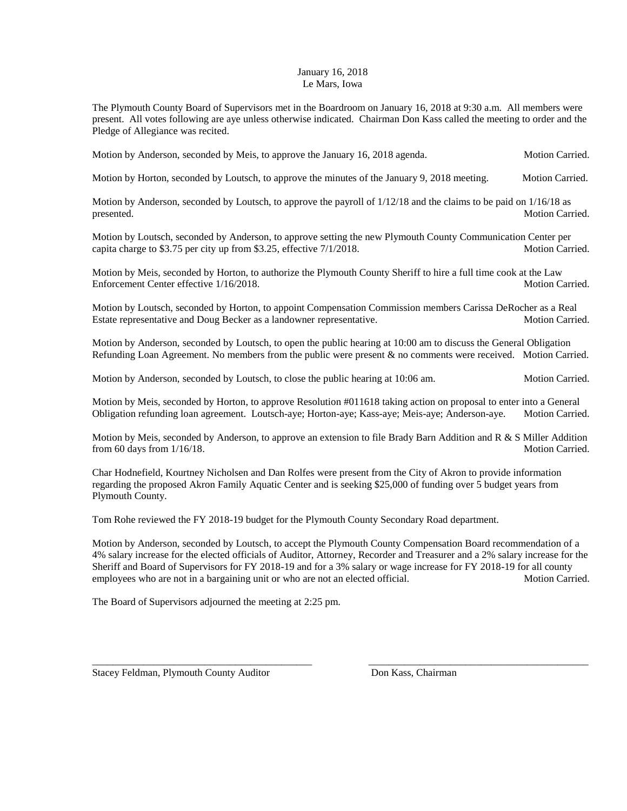## January 16, 2018 Le Mars, Iowa

The Plymouth County Board of Supervisors met in the Boardroom on January 16, 2018 at 9:30 a.m. All members were present. All votes following are aye unless otherwise indicated. Chairman Don Kass called the meeting to order and the Pledge of Allegiance was recited.

Motion by Anderson, seconded by Meis, to approve the January 16, 2018 agenda. Motion Carried.

Motion by Horton, seconded by Loutsch, to approve the minutes of the January 9, 2018 meeting. Motion Carried.

Motion by Anderson, seconded by Loutsch, to approve the payroll of 1/12/18 and the claims to be paid on 1/16/18 as presented. Motion Carried.

Motion by Loutsch, seconded by Anderson, to approve setting the new Plymouth County Communication Center per capita charge to \$3.75 per city up from \$3.25, effective  $7/1/2018$ . Motion Carried.

Motion by Meis, seconded by Horton, to authorize the Plymouth County Sheriff to hire a full time cook at the Law Enforcement Center effective 1/16/2018. And the state of the state of the Motion Carried.

Motion by Loutsch, seconded by Horton, to appoint Compensation Commission members Carissa DeRocher as a Real Estate representative and Doug Becker as a landowner representative. Motion Carried.

Motion by Anderson, seconded by Loutsch, to open the public hearing at 10:00 am to discuss the General Obligation Refunding Loan Agreement. No members from the public were present & no comments were received. Motion Carried.

Motion by Anderson, seconded by Loutsch, to close the public hearing at 10:06 am. Motion Carried.

Motion by Meis, seconded by Horton, to approve Resolution #011618 taking action on proposal to enter into a General Obligation refunding loan agreement. Loutsch-aye; Horton-aye; Kass-aye; Meis-aye; Anderson-aye. Motion Carried.

Motion by Meis, seconded by Anderson, to approve an extension to file Brady Barn Addition and R & S Miller Addition from 60 days from  $1/16/18$ . Motion Carried.

Char Hodnefield, Kourtney Nicholsen and Dan Rolfes were present from the City of Akron to provide information regarding the proposed Akron Family Aquatic Center and is seeking \$25,000 of funding over 5 budget years from Plymouth County.

Tom Rohe reviewed the FY 2018-19 budget for the Plymouth County Secondary Road department.

Motion by Anderson, seconded by Loutsch, to accept the Plymouth County Compensation Board recommendation of a 4% salary increase for the elected officials of Auditor, Attorney, Recorder and Treasurer and a 2% salary increase for the Sheriff and Board of Supervisors for FY 2018-19 and for a 3% salary or wage increase for FY 2018-19 for all county employees who are not in a bargaining unit or who are not an elected official. Motion Carried.

\_\_\_\_\_\_\_\_\_\_\_\_\_\_\_\_\_\_\_\_\_\_\_\_\_\_\_\_\_\_\_\_\_\_\_\_\_\_\_\_\_\_\_ \_\_\_\_\_\_\_\_\_\_\_\_\_\_\_\_\_\_\_\_\_\_\_\_\_\_\_\_\_\_\_\_\_\_\_\_\_\_\_\_\_\_\_

The Board of Supervisors adjourned the meeting at 2:25 pm.

Stacey Feldman, Plymouth County Auditor **Don Kass, Chairman**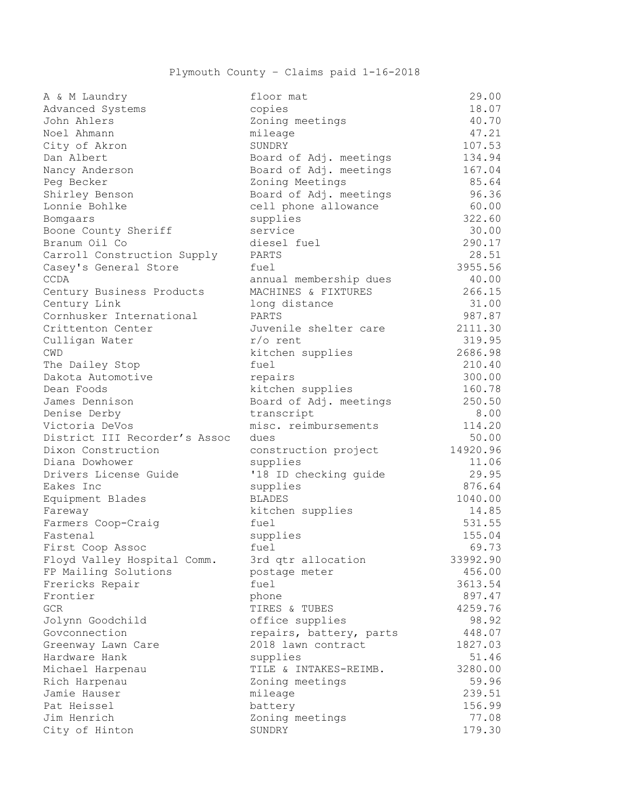| A & M Laundry                 | floor mat               | 29.00    |
|-------------------------------|-------------------------|----------|
| Advanced Systems              | copies                  | 18.07    |
| John Ahlers                   | Zoning meetings         | 40.70    |
| Noel Ahmann                   | mileage                 | 47.21    |
| City of Akron                 | SUNDRY                  | 107.53   |
| Dan Albert                    | Board of Adj. meetings  | 134.94   |
| Nancy Anderson                | Board of Adj. meetings  | 167.04   |
| Peg Becker                    | Zoning Meetings         | 85.64    |
| Shirley Benson                | Board of Adj. meetings  | 96.36    |
| Lonnie Bohlke                 | cell phone allowance    | 60.00    |
| Bomgaars                      | supplies                | 322.60   |
| Boone County Sheriff          | service                 | 30.00    |
| Branum Oil Co                 | diesel fuel             | 290.17   |
| Carroll Construction Supply   | PARTS                   | 28.51    |
| Casey's General Store         | fuel                    | 3955.56  |
| CCDA                          | annual membership dues  | 40.00    |
| Century Business Products     | MACHINES & FIXTURES     | 266.15   |
| Century Link                  | long distance           | 31.00    |
| Cornhusker International      | PARTS                   | 987.87   |
| Crittenton Center             | Juvenile shelter care   | 2111.30  |
| Culligan Water                | $r/\circ$ rent          | 319.95   |
| CWD                           | kitchen supplies        | 2686.98  |
| The Dailey Stop               | fuel                    | 210.40   |
| Dakota Automotive             | repairs                 | 300.00   |
| Dean Foods                    | kitchen supplies        | 160.78   |
| James Dennison                | Board of Adj. meetings  | 250.50   |
| Denise Derby                  | transcript              | 8.00     |
| Victoria DeVos                | misc. reimbursements    | 114.20   |
| District III Recorder's Assoc | dues                    | 50.00    |
| Dixon Construction            | construction project    | 14920.96 |
| Diana Dowhower                | supplies                | 11.06    |
| Drivers License Guide         | '18 ID checking guide   | 29.95    |
| Eakes Inc                     | supplies                | 876.64   |
| Equipment Blades              | <b>BLADES</b>           | 1040.00  |
| Fareway                       | kitchen supplies        | 14.85    |
| Farmers Coop-Craig            | fuel                    | 531.55   |
| Fastenal                      | supplies                | 155.04   |
| First Coop Assoc              | fuel                    | 69.73    |
| Floyd Valley Hospital Comm.   | 3rd qtr allocation      | 33992.90 |
| FP Mailing Solutions          | postage meter           | 456.00   |
| Frericks Repair               | fuel                    | 3613.54  |
| Frontier                      | phone                   | 897.47   |
| GCR.                          | TIRES & TUBES           | 4259.76  |
| Jolynn Goodchild              | office supplies         | 98.92    |
| Govconnection                 | repairs, battery, parts | 448.07   |
| Greenway Lawn Care            | 2018 lawn contract      | 1827.03  |
| Hardware Hank                 | supplies                | 51.46    |
| Michael Harpenau              | TILE & INTAKES-REIMB.   | 3280.00  |
| Rich Harpenau                 | Zoning meetings         | 59.96    |
| Jamie Hauser                  |                         | 239.51   |
| Pat Heissel                   | mileage                 |          |
|                               | battery                 | 156.99   |
| Jim Henrich                   | Zoning meetings         | 77.08    |
| City of Hinton                | SUNDRY                  | 179.30   |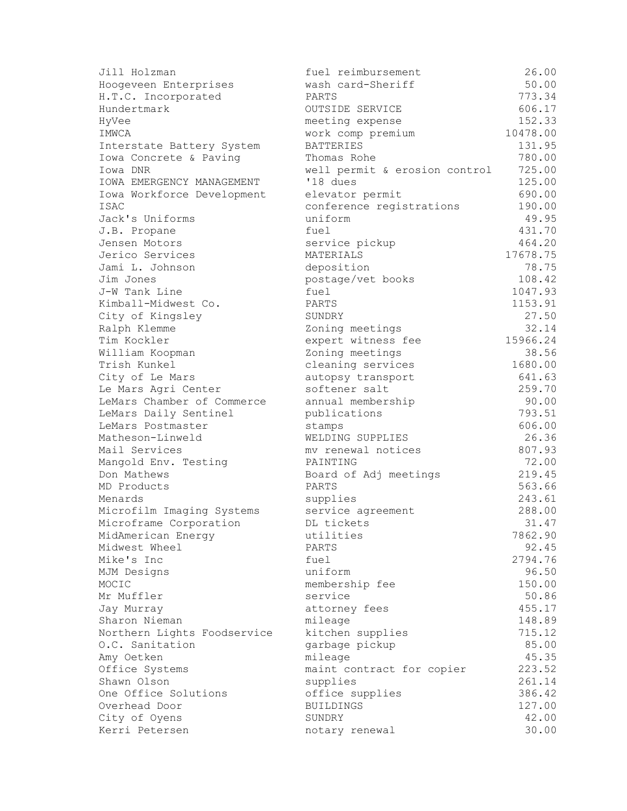| Jill Holzman                     | fuel reimbursement            | 26.00    |
|----------------------------------|-------------------------------|----------|
| Hoogeveen Enterprises            | wash card-Sheriff             | 50.00    |
| H.T.C. Incorporated              | PARTS                         | 773.34   |
| Hundertmark                      | OUTSIDE SERVICE               | 606.17   |
| HyVee                            | meeting expense               | 152.33   |
| IMWCA                            | work comp premium             | 10478.00 |
| Interstate Battery System        | <b>BATTERIES</b>              | 131.95   |
| Iowa Concrete & Paving           | Thomas Rohe                   | 780.00   |
| Iowa DNR                         | well permit & erosion control | 725.00   |
| <b>IOWA EMERGENCY MANAGEMENT</b> | '18 dues                      | 125.00   |
| Iowa Workforce Development       | elevator permit               | 690.00   |
| <b>ISAC</b>                      | conference registrations      | 190.00   |
| Jack's Uniforms                  | uniform                       | 49.95    |
| J.B. Propane                     | fuel                          | 431.70   |
| Jensen Motors                    | service pickup                | 464.20   |
| Jerico Services                  | MATERIALS                     | 17678.75 |
| Jami L. Johnson                  | deposition                    | 78.75    |
| Jim Jones                        | postage/vet books             | 108.42   |
| J-W Tank Line                    | fuel                          | 1047.93  |
| Kimball-Midwest Co.              | PARTS                         | 1153.91  |
| City of Kingsley                 | SUNDRY                        | 27.50    |
| Ralph Klemme                     | Zoning meetings               | 32.14    |
| Tim Kockler                      | expert witness fee            | 15966.24 |
| William Koopman                  | Zoning meetings               | 38.56    |
| Trish Kunkel                     | cleaning services             | 1680.00  |
| City of Le Mars                  | autopsy transport             | 641.63   |
| Le Mars Agri Center              | softener salt                 | 259.70   |
| LeMars Chamber of Commerce       | annual membership             | 90.00    |
| LeMars Daily Sentinel            | publications                  | 793.51   |
| LeMars Postmaster                | stamps                        | 606.00   |
| Matheson-Linweld                 | WELDING SUPPLIES              | 26.36    |
| Mail Services                    | mv renewal notices            | 807.93   |
| Mangold Env. Testing             | PAINTING                      | 72.00    |
| Don Mathews                      | Board of Adj meetings         | 219.45   |
| MD Products                      | PARTS                         | 563.66   |
| Menards                          | supplies                      | 243.61   |
| Microfilm Imaging Systems        | service agreement             | 288.00   |
| Microframe Corporation           | DL tickets                    | 31.47    |
| MidAmerican Energy               | utilities                     | 7862.90  |
| Midwest Wheel                    | PARTS                         | 92.45    |
| Mike's Inc                       | fuel                          | 2794.76  |
| MJM Designs                      | uniform                       | 96.50    |
| MOCIC                            | membership fee                | 150.00   |
| Mr Muffler                       | service                       | 50.86    |
| Jay Murray                       | attorney fees                 | 455.17   |
| Sharon Nieman                    | mileage                       | 148.89   |
| Northern Lights Foodservice      | kitchen supplies              | 715.12   |
| O.C. Sanitation                  | garbage pickup                | 85.00    |
| Amy Oetken                       | mileage                       | 45.35    |
| Office Systems                   | maint contract for copier     | 223.52   |
| Shawn Olson                      | supplies                      | 261.14   |
| One Office Solutions             | office supplies               | 386.42   |
| Overhead Door                    | <b>BUILDINGS</b>              | 127.00   |
| City of Oyens                    | SUNDRY                        | 42.00    |
| Kerri Petersen                   | notary renewal                | 30.00    |